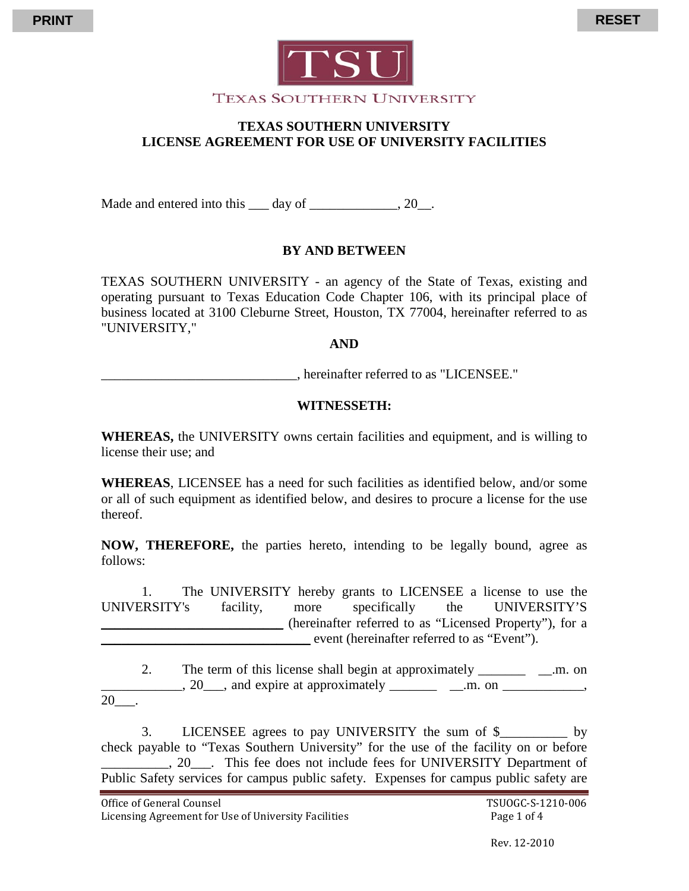

# **TEXAS SOUTHERN UNIVERSITY LICENSE AGREEMENT FOR USE OF UNIVERSITY FACILITIES**

Made and entered into this \_\_\_ day of \_\_\_\_\_\_\_\_\_\_\_\_, 20\_\_.

## **BY AND BETWEEN**

TEXAS SOUTHERN UNIVERSITY - an agency of the State of Texas, existing and operating pursuant to Texas Education Code Chapter 106, with its principal place of business located at 3100 Cleburne Street, Houston, TX 77004, hereinafter referred to as "UNIVERSITY,"

#### **AND**

\_\_\_\_\_\_\_\_\_\_\_\_\_\_\_\_\_\_\_\_\_\_\_\_\_\_\_\_\_, hereinafter referred to as "LICENSEE."

#### **WITNESSETH:**

**WHEREAS,** the UNIVERSITY owns certain facilities and equipment, and is willing to license their use; and

**WHEREAS**, LICENSEE has a need for such facilities as identified below, and/or some or all of such equipment as identified below, and desires to procure a license for the use thereof.

**NOW, THEREFORE,** the parties hereto, intending to be legally bound, agree as follows:

1. The UNIVERSITY hereby grants to LICENSEE a license to use the UNIVERSITY's facility, more specifically the UNIVERSITY'S \_\_\_\_\_\_\_\_\_\_\_\_\_\_\_\_\_\_\_\_\_\_\_\_\_\_\_ (hereinafter referred to as "Licensed Property"), for a \_\_\_\_\_\_\_\_\_\_\_\_\_\_\_\_\_\_\_\_\_\_\_\_\_\_\_\_\_\_\_ event (hereinafter referred to as "Event").

2. The term of this license shall begin at approximately \_\_\_\_\_\_\_\_ \_\_\_.m. on  $\frac{20}{\ldots}$ , 20 and expire at approximately  $\frac{\ldots}{\ldots}$  and  $\frac{\ldots}{\ldots}$ , 20\_\_\_.

3. LICENSEE agrees to pay UNIVERSITY the sum of \$\_\_\_\_\_\_\_\_\_\_ by check payable to "Texas Southern University" for the use of the facility on or before \_\_\_\_\_\_\_\_\_\_, 20\_\_\_. This fee does not include fees for UNIVERSITY Department of Public Safety services for campus public safety. Expenses for campus public safety are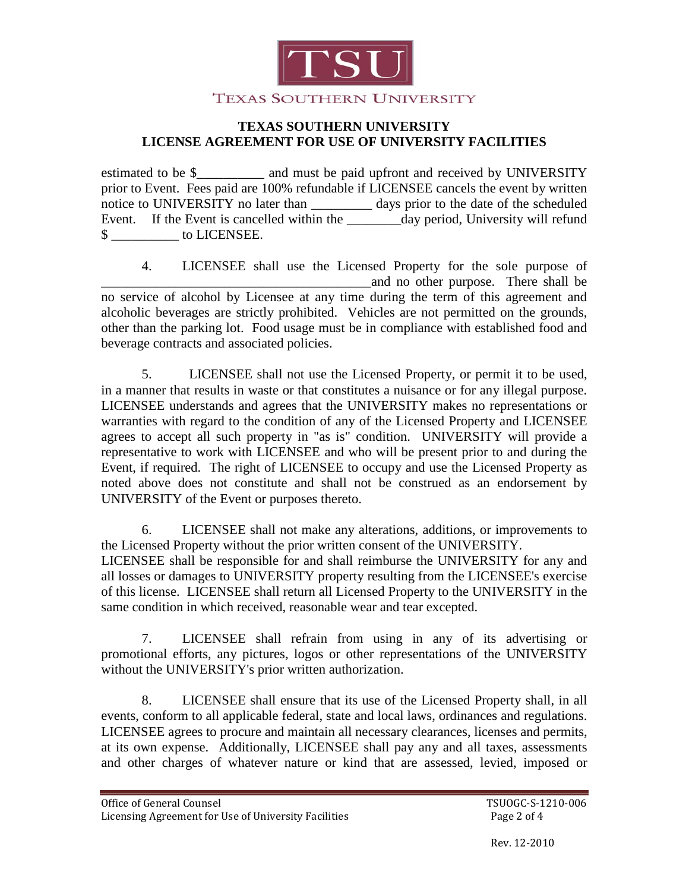

## **TEXAS SOUTHERN UNIVERSITY LICENSE AGREEMENT FOR USE OF UNIVERSITY FACILITIES**

estimated to be \$\_\_\_\_\_\_\_\_\_\_\_\_ and must be paid upfront and received by UNIVERSITY prior to Event. Fees paid are 100% refundable if LICENSEE cancels the event by written notice to UNIVERSITY no later than \_\_\_\_\_\_\_\_\_ days prior to the date of the scheduled Event. If the Event is cancelled within the day period, University will refund \$ \_\_\_\_\_\_\_\_\_\_ to LICENSEE.

4. LICENSEE shall use the Licensed Property for the sole purpose of \_\_\_\_\_\_\_\_\_\_\_\_\_\_\_\_\_\_\_\_\_\_\_\_\_\_\_\_\_\_\_\_\_\_\_\_\_\_\_\_and no other purpose. There shall be no service of alcohol by Licensee at any time during the term of this agreement and alcoholic beverages are strictly prohibited. Vehicles are not permitted on the grounds, other than the parking lot. Food usage must be in compliance with established food and beverage contracts and associated policies.

5. LICENSEE shall not use the Licensed Property, or permit it to be used, in a manner that results in waste or that constitutes a nuisance or for any illegal purpose. LICENSEE understands and agrees that the UNIVERSITY makes no representations or warranties with regard to the condition of any of the Licensed Property and LICENSEE agrees to accept all such property in "as is" condition. UNIVERSITY will provide a representative to work with LICENSEE and who will be present prior to and during the Event, if required. The right of LICENSEE to occupy and use the Licensed Property as noted above does not constitute and shall not be construed as an endorsement by UNIVERSITY of the Event or purposes thereto.

6. LICENSEE shall not make any alterations, additions, or improvements to the Licensed Property without the prior written consent of the UNIVERSITY. LICENSEE shall be responsible for and shall reimburse the UNIVERSITY for any and all losses or damages to UNIVERSITY property resulting from the LICENSEE's exercise of this license. LICENSEE shall return all Licensed Property to the UNIVERSITY in the same condition in which received, reasonable wear and tear excepted.

7. LICENSEE shall refrain from using in any of its advertising or promotional efforts, any pictures, logos or other representations of the UNIVERSITY without the UNIVERSITY's prior written authorization.

8. LICENSEE shall ensure that its use of the Licensed Property shall, in all events, conform to all applicable federal, state and local laws, ordinances and regulations. LICENSEE agrees to procure and maintain all necessary clearances, licenses and permits, at its own expense. Additionally, LICENSEE shall pay any and all taxes, assessments and other charges of whatever nature or kind that are assessed, levied, imposed or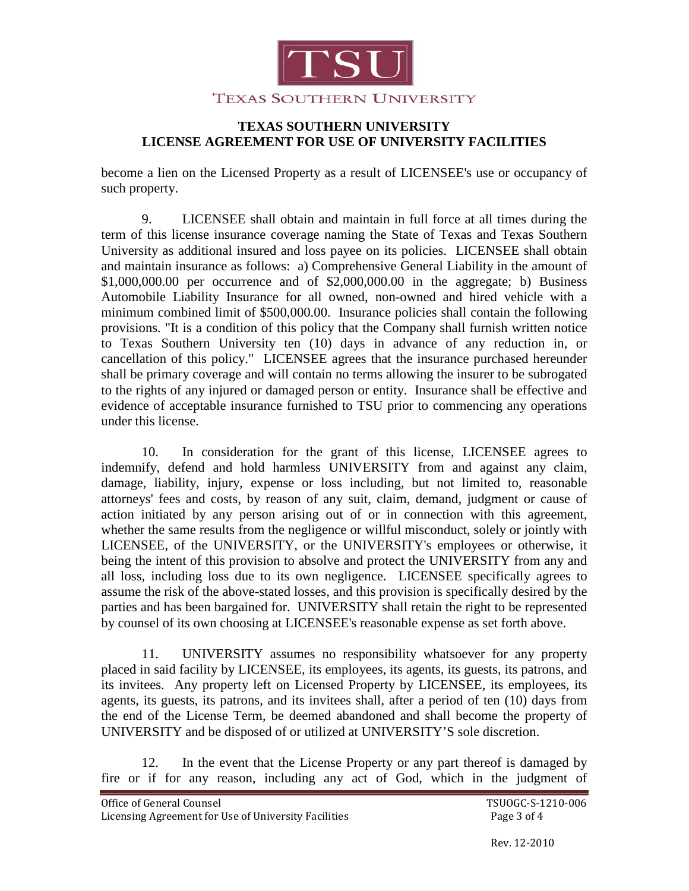

## **TEXAS SOUTHERN UNIVERSITY LICENSE AGREEMENT FOR USE OF UNIVERSITY FACILITIES**

become a lien on the Licensed Property as a result of LICENSEE's use or occupancy of such property.

9. LICENSEE shall obtain and maintain in full force at all times during the term of this license insurance coverage naming the State of Texas and Texas Southern University as additional insured and loss payee on its policies. LICENSEE shall obtain and maintain insurance as follows: a) Comprehensive General Liability in the amount of \$1,000,000.00 per occurrence and of \$2,000,000.00 in the aggregate; b) Business Automobile Liability Insurance for all owned, non-owned and hired vehicle with a minimum combined limit of \$500,000.00. Insurance policies shall contain the following provisions. "It is a condition of this policy that the Company shall furnish written notice to Texas Southern University ten (10) days in advance of any reduction in, or cancellation of this policy." LICENSEE agrees that the insurance purchased hereunder shall be primary coverage and will contain no terms allowing the insurer to be subrogated to the rights of any injured or damaged person or entity. Insurance shall be effective and evidence of acceptable insurance furnished to TSU prior to commencing any operations under this license.

10. In consideration for the grant of this license, LICENSEE agrees to indemnify, defend and hold harmless UNIVERSITY from and against any claim, damage, liability, injury, expense or loss including, but not limited to, reasonable attorneys' fees and costs, by reason of any suit, claim, demand, judgment or cause of action initiated by any person arising out of or in connection with this agreement, whether the same results from the negligence or willful misconduct, solely or jointly with LICENSEE, of the UNIVERSITY, or the UNIVERSITY's employees or otherwise, it being the intent of this provision to absolve and protect the UNIVERSITY from any and all loss, including loss due to its own negligence. LICENSEE specifically agrees to assume the risk of the above-stated losses, and this provision is specifically desired by the parties and has been bargained for. UNIVERSITY shall retain the right to be represented by counsel of its own choosing at LICENSEE's reasonable expense as set forth above.

11. UNIVERSITY assumes no responsibility whatsoever for any property placed in said facility by LICENSEE, its employees, its agents, its guests, its patrons, and its invitees. Any property left on Licensed Property by LICENSEE, its employees, its agents, its guests, its patrons, and its invitees shall, after a period of ten (10) days from the end of the License Term, be deemed abandoned and shall become the property of UNIVERSITY and be disposed of or utilized at UNIVERSITY'S sole discretion.

12. In the event that the License Property or any part thereof is damaged by fire or if for any reason, including any act of God, which in the judgment of